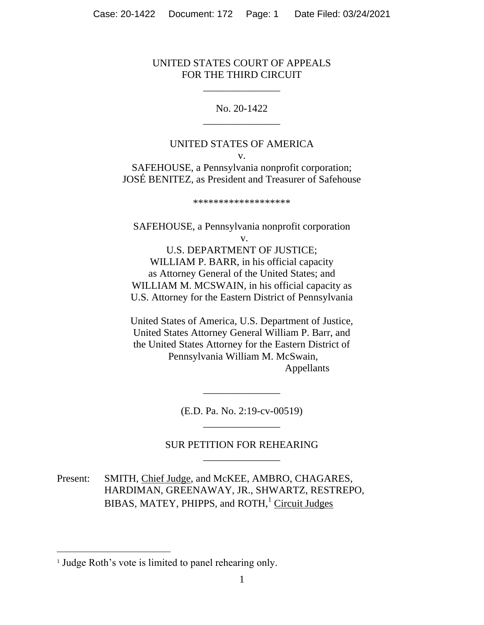## UNITED STATES COURT OF APPEALS FOR THE THIRD CIRCUIT

\_\_\_\_\_\_\_\_\_\_\_\_\_\_\_

No. 20-1422 \_\_\_\_\_\_\_\_\_\_\_\_\_\_\_

## UNITED STATES OF AMERICA

v. SAFEHOUSE, a Pennsylvania nonprofit corporation; JOSÉ BENITEZ, as President and Treasurer of Safehouse

\*\*\*\*\*\*\*\*\*\*\*\*\*\*\*\*\*\*\*

SAFEHOUSE, a Pennsylvania nonprofit corporation v. U.S. DEPARTMENT OF JUSTICE; WILLIAM P. BARR, in his official capacity as Attorney General of the United States; and WILLIAM M. MCSWAIN, in his official capacity as U.S. Attorney for the Eastern District of Pennsylvania

United States of America, U.S. Department of Justice, United States Attorney General William P. Barr, and the United States Attorney for the Eastern District of Pennsylvania William M. McSwain, Appellants

> (E.D. Pa. No. 2:19-cv-00519) \_\_\_\_\_\_\_\_\_\_\_\_\_\_\_

\_\_\_\_\_\_\_\_\_\_\_\_\_\_\_

# SUR PETITION FOR REHEARING \_\_\_\_\_\_\_\_\_\_\_\_\_\_\_

Present: SMITH, Chief Judge, and McKEE, AMBRO, CHAGARES, HARDIMAN, GREENAWAY, JR., SHWARTZ, RESTREPO, BIBAS, MATEY, PHIPPS, and ROTH,<sup>1</sup> Circuit Judges

<sup>&</sup>lt;sup>1</sup> Judge Roth's vote is limited to panel rehearing only.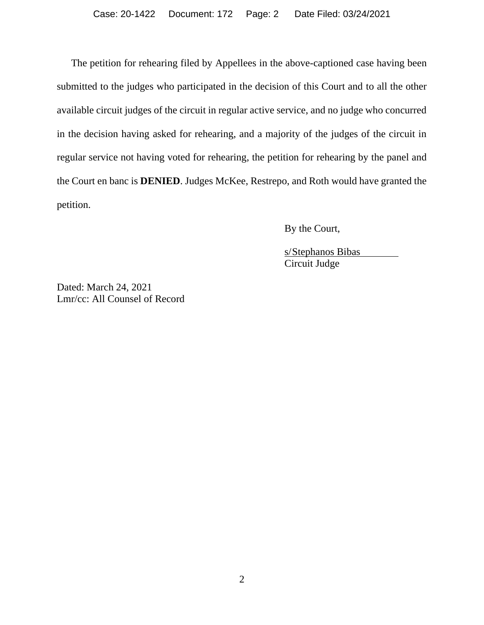The petition for rehearing filed by Appellees in the above-captioned case having been submitted to the judges who participated in the decision of this Court and to all the other available circuit judges of the circuit in regular active service, and no judge who concurred in the decision having asked for rehearing, and a majority of the judges of the circuit in regular service not having voted for rehearing, the petition for rehearing by the panel and the Court en banc is **DENIED**. Judges McKee, Restrepo, and Roth would have granted the petition.

By the Court,

s/Stephanos Bibas Circuit Judge

Dated: March 24, 2021 Lmr/cc: All Counsel of Record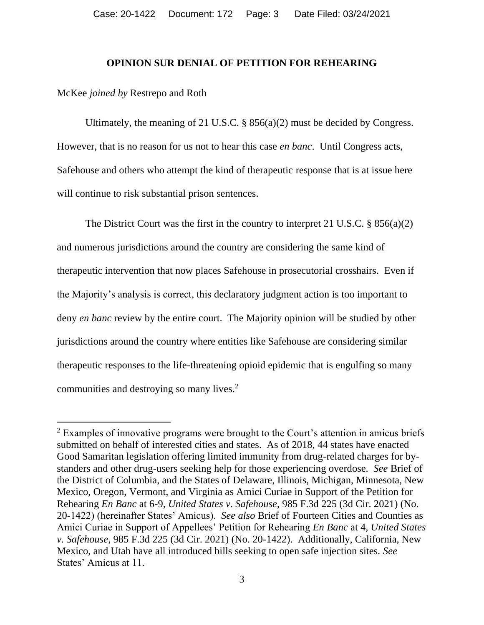#### **OPINION SUR DENIAL OF PETITION FOR REHEARING**

#### McKee *joined by* Restrepo and Roth

Ultimately, the meaning of 21 U.S.C.  $\S$  856(a)(2) must be decided by Congress. However, that is no reason for us not to hear this case *en banc*. Until Congress acts, Safehouse and others who attempt the kind of therapeutic response that is at issue here will continue to risk substantial prison sentences.

The District Court was the first in the country to interpret 21 U.S.C. § 856(a)(2) and numerous jurisdictions around the country are considering the same kind of therapeutic intervention that now places Safehouse in prosecutorial crosshairs. Even if the Majority's analysis is correct, this declaratory judgment action is too important to deny *en banc* review by the entire court. The Majority opinion will be studied by other jurisdictions around the country where entities like Safehouse are considering similar therapeutic responses to the life-threatening opioid epidemic that is engulfing so many communities and destroying so many lives. 2

<sup>&</sup>lt;sup>2</sup> Examples of innovative programs were brought to the Court's attention in amicus briefs submitted on behalf of interested cities and states. As of 2018, 44 states have enacted Good Samaritan legislation offering limited immunity from drug-related charges for bystanders and other drug-users seeking help for those experiencing overdose. *See* Brief of the District of Columbia, and the States of Delaware, Illinois, Michigan, Minnesota, New Mexico, Oregon, Vermont, and Virginia as Amici Curiae in Support of the Petition for Rehearing *En Banc* at 6-9, *United States v. Safehouse*, 985 F.3d 225 (3d Cir. 2021) (No. 20-1422) (hereinafter States' Amicus). *See also* Brief of Fourteen Cities and Counties as Amici Curiae in Support of Appellees' Petition for Rehearing *En Banc* at 4, *United States v. Safehouse*, 985 F.3d 225 (3d Cir. 2021) (No. 20-1422). Additionally, California, New Mexico, and Utah have all introduced bills seeking to open safe injection sites. *See* States' Amicus at 11.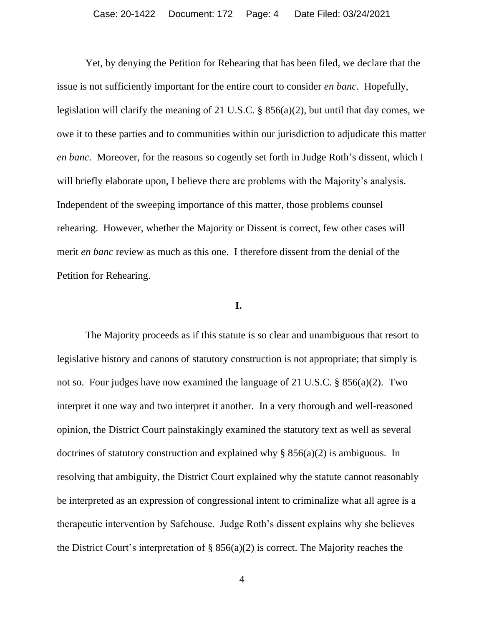Yet, by denying the Petition for Rehearing that has been filed, we declare that the issue is not sufficiently important for the entire court to consider *en banc*. Hopefully, legislation will clarify the meaning of 21 U.S.C. § 856(a)(2), but until that day comes, we owe it to these parties and to communities within our jurisdiction to adjudicate this matter *en banc*. Moreover, for the reasons so cogently set forth in Judge Roth's dissent, which I will briefly elaborate upon, I believe there are problems with the Majority's analysis. Independent of the sweeping importance of this matter, those problems counsel rehearing. However, whether the Majority or Dissent is correct, few other cases will merit *en banc* review as much as this one. I therefore dissent from the denial of the Petition for Rehearing.

### **I.**

The Majority proceeds as if this statute is so clear and unambiguous that resort to legislative history and canons of statutory construction is not appropriate; that simply is not so. Four judges have now examined the language of 21 U.S.C. § 856(a)(2). Two interpret it one way and two interpret it another. In a very thorough and well-reasoned opinion, the District Court painstakingly examined the statutory text as well as several doctrines of statutory construction and explained why  $\S$  856(a)(2) is ambiguous. In resolving that ambiguity, the District Court explained why the statute cannot reasonably be interpreted as an expression of congressional intent to criminalize what all agree is a therapeutic intervention by Safehouse. Judge Roth's dissent explains why she believes the District Court's interpretation of  $\S$  856(a)(2) is correct. The Majority reaches the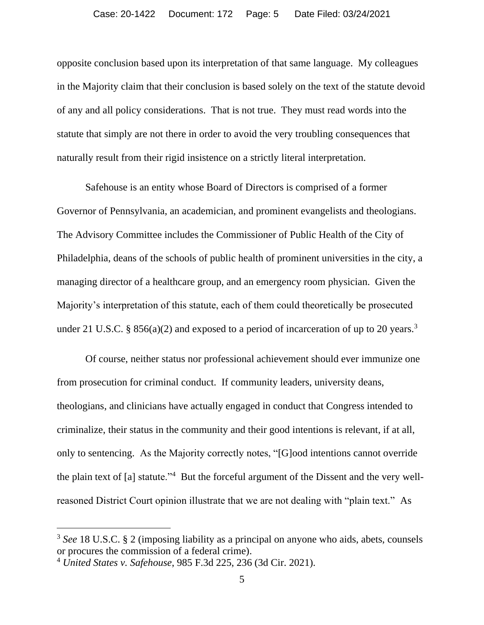opposite conclusion based upon its interpretation of that same language. My colleagues in the Majority claim that their conclusion is based solely on the text of the statute devoid of any and all policy considerations. That is not true. They must read words into the statute that simply are not there in order to avoid the very troubling consequences that naturally result from their rigid insistence on a strictly literal interpretation.

Safehouse is an entity whose Board of Directors is comprised of a former Governor of Pennsylvania, an academician, and prominent evangelists and theologians. The Advisory Committee includes the Commissioner of Public Health of the City of Philadelphia, deans of the schools of public health of prominent universities in the city, a managing director of a healthcare group, and an emergency room physician. Given the Majority's interpretation of this statute, each of them could theoretically be prosecuted under 21 U.S.C. § 856(a)(2) and exposed to a period of incarceration of up to 20 years.<sup>3</sup>

Of course, neither status nor professional achievement should ever immunize one from prosecution for criminal conduct. If community leaders, university deans, theologians, and clinicians have actually engaged in conduct that Congress intended to criminalize, their status in the community and their good intentions is relevant, if at all, only to sentencing. As the Majority correctly notes, "[G]ood intentions cannot override the plain text of [a] statute."<sup>4</sup> But the forceful argument of the Dissent and the very wellreasoned District Court opinion illustrate that we are not dealing with "plain text." As

<sup>3</sup> *See* 18 U.S.C. § 2 (imposing liability as a principal on anyone who aids, abets, counsels or procures the commission of a federal crime).

<sup>4</sup> *United States v. Safehouse*, 985 F.3d 225, 236 (3d Cir. 2021).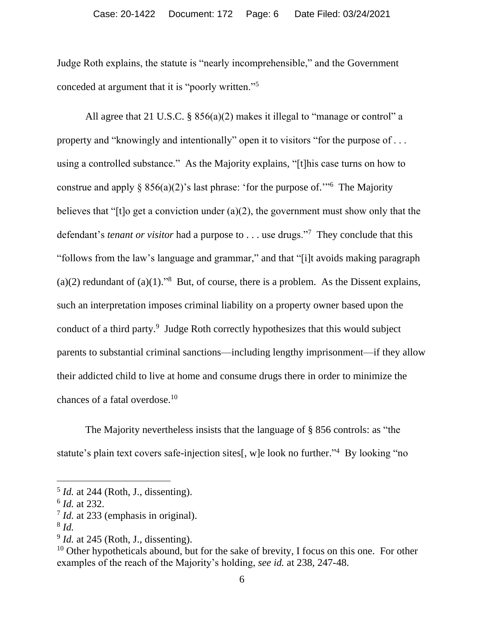Judge Roth explains, the statute is "nearly incomprehensible," and the Government conceded at argument that it is "poorly written."<sup>5</sup>

All agree that 21 U.S.C. § 856(a)(2) makes it illegal to "manage or control" a property and "knowingly and intentionally" open it to visitors "for the purpose of . . . using a controlled substance." As the Majority explains, "[t]his case turns on how to construe and apply  $\S 856(a)(2)$ 's last phrase: 'for the purpose of.'"<sup>6</sup> The Majority believes that "[t]o get a conviction under (a)(2), the government must show only that the defendant's *tenant or visitor* had a purpose to . . . use drugs."<sup>7</sup> They conclude that this "follows from the law's language and grammar," and that "[i]t avoids making paragraph (a)(2) redundant of (a)(1).<sup>98</sup> But, of course, there is a problem. As the Dissent explains, such an interpretation imposes criminal liability on a property owner based upon the conduct of a third party.<sup>9</sup> Judge Roth correctly hypothesizes that this would subject parents to substantial criminal sanctions—including lengthy imprisonment—if they allow their addicted child to live at home and consume drugs there in order to minimize the chances of a fatal overdose.<sup>10</sup>

The Majority nevertheless insists that the language of § 856 controls: as "the statute's plain text covers safe-injection sites[, w]e look no further."<sup>4</sup> By looking "no

<sup>&</sup>lt;sup>5</sup> *Id.* at 244 (Roth, J., dissenting).

<sup>6</sup> *Id.* at 232.

<sup>&</sup>lt;sup>7</sup> *Id.* at 233 (emphasis in original).

<sup>8</sup> *Id.*

<sup>&</sup>lt;sup>9</sup> *Id.* at 245 (Roth, J., dissenting).

 $10$  Other hypotheticals abound, but for the sake of brevity, I focus on this one. For other examples of the reach of the Majority's holding, *see id.* at 238, 247-48.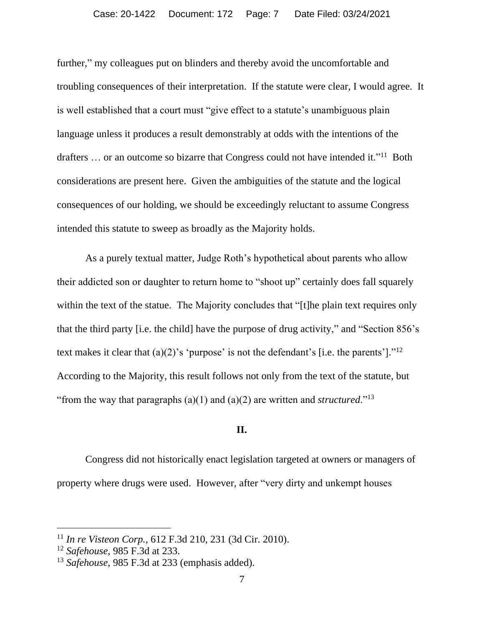further," my colleagues put on blinders and thereby avoid the uncomfortable and troubling consequences of their interpretation. If the statute were clear, I would agree. It is well established that a court must "give effect to a statute's unambiguous plain language unless it produces a result demonstrably at odds with the intentions of the drafters ... or an outcome so bizarre that Congress could not have intended it."<sup>11</sup> Both considerations are present here. Given the ambiguities of the statute and the logical consequences of our holding, we should be exceedingly reluctant to assume Congress intended this statute to sweep as broadly as the Majority holds.

As a purely textual matter, Judge Roth's hypothetical about parents who allow their addicted son or daughter to return home to "shoot up" certainly does fall squarely within the text of the statue. The Majority concludes that "[t]he plain text requires only that the third party [i.e. the child] have the purpose of drug activity," and "Section 856's text makes it clear that  $(a)(2)$ 's 'purpose' is not the defendant's [i.e. the parents']."<sup>12</sup> According to the Majority, this result follows not only from the text of the statute, but "from the way that paragraphs  $(a)(1)$  and  $(a)(2)$  are written and *structured*."<sup>13</sup>

## **II.**

Congress did not historically enact legislation targeted at owners or managers of property where drugs were used. However, after "very dirty and unkempt houses

<sup>11</sup> *In re Visteon Corp.*, 612 F.3d 210, 231 (3d Cir. 2010).

<sup>12</sup> *Safehouse*, 985 F.3d at 233.

<sup>13</sup> *Safehouse*, 985 F.3d at 233 (emphasis added).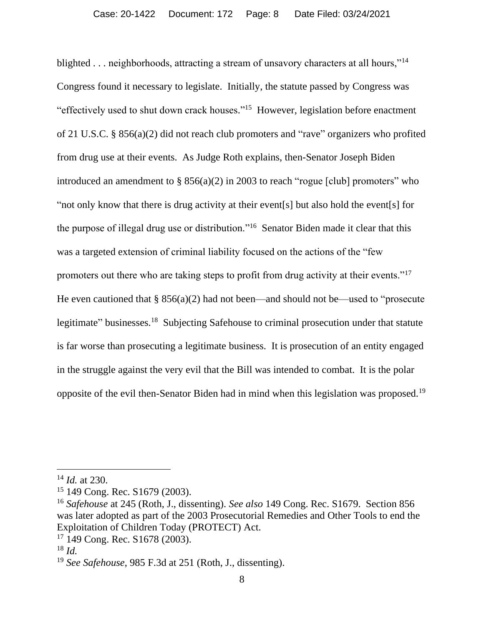blighted . . . neighborhoods, attracting a stream of unsavory characters at all hours,"<sup>14</sup> Congress found it necessary to legislate. Initially, the statute passed by Congress was "effectively used to shut down crack houses." <sup>15</sup> However, legislation before enactment of 21 U.S.C. § 856(a)(2) did not reach club promoters and "rave" organizers who profited from drug use at their events. As Judge Roth explains, then-Senator Joseph Biden introduced an amendment to § 856(a)(2) in 2003 to reach "rogue [club] promoters" who "not only know that there is drug activity at their event[s] but also hold the event[s] for the purpose of illegal drug use or distribution."<sup>16</sup> Senator Biden made it clear that this was a targeted extension of criminal liability focused on the actions of the "few promoters out there who are taking steps to profit from drug activity at their events."<sup>17</sup> He even cautioned that  $\S 856(a)(2)$  had not been—and should not be—used to "prosecute" legitimate" businesses.<sup>18</sup> Subjecting Safehouse to criminal prosecution under that statute is far worse than prosecuting a legitimate business. It is prosecution of an entity engaged in the struggle against the very evil that the Bill was intended to combat. It is the polar opposite of the evil then-Senator Biden had in mind when this legislation was proposed.<sup>19</sup>

<sup>14</sup> *Id.* at 230.

<sup>15</sup> 149 Cong. Rec. S1679 (2003).

<sup>16</sup> *Safehouse* at 245 (Roth, J., dissenting). *See also* 149 Cong. Rec. S1679. Section 856 was later adopted as part of the 2003 Prosecutorial Remedies and Other Tools to end the Exploitation of Children Today (PROTECT) Act.

<sup>17</sup> 149 Cong. Rec. S1678 (2003).

<sup>18</sup> *Id.*

<sup>19</sup> *See Safehouse*, 985 F.3d at 251 (Roth, J., dissenting).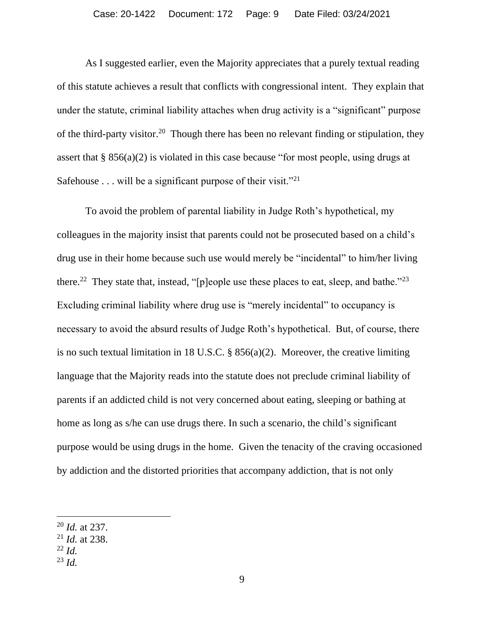As I suggested earlier, even the Majority appreciates that a purely textual reading of this statute achieves a result that conflicts with congressional intent. They explain that under the statute, criminal liability attaches when drug activity is a "significant" purpose of the third-party visitor.<sup>20</sup> Though there has been no relevant finding or stipulation, they assert that  $\S 856(a)(2)$  is violated in this case because "for most people, using drugs at Safehouse  $\dots$  will be a significant purpose of their visit."<sup>21</sup>

To avoid the problem of parental liability in Judge Roth's hypothetical, my colleagues in the majority insist that parents could not be prosecuted based on a child's drug use in their home because such use would merely be "incidental" to him/her living there.<sup>22</sup> They state that, instead, "[p]eople use these places to eat, sleep, and bathe."<sup>23</sup> Excluding criminal liability where drug use is "merely incidental" to occupancy is necessary to avoid the absurd results of Judge Roth's hypothetical. But, of course, there is no such textual limitation in 18 U.S.C. § 856(a)(2). Moreover, the creative limiting language that the Majority reads into the statute does not preclude criminal liability of parents if an addicted child is not very concerned about eating, sleeping or bathing at home as long as s/he can use drugs there. In such a scenario, the child's significant purpose would be using drugs in the home. Given the tenacity of the craving occasioned by addiction and the distorted priorities that accompany addiction, that is not only

- <sup>22</sup> *Id.*
- <sup>23</sup> *Id.*

<sup>20</sup> *Id.* at 237.

<sup>21</sup> *Id.* at 238.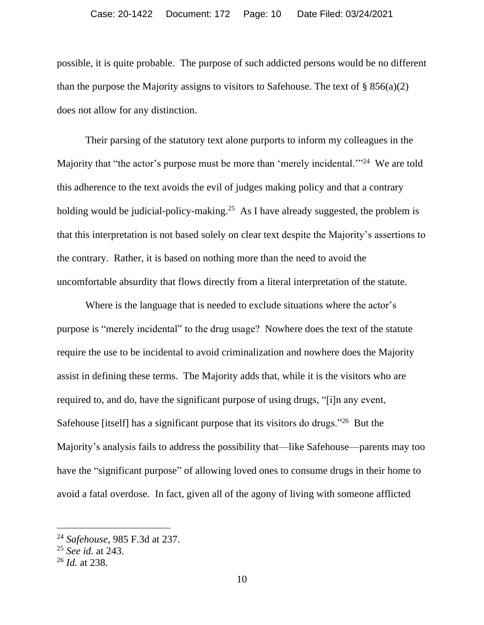possible, it is quite probable. The purpose of such addicted persons would be no different than the purpose the Majority assigns to visitors to Safehouse. The text of  $\S 856(a)(2)$ does not allow for any distinction.

Their parsing of the statutory text alone purports to inform my colleagues in the Majority that "the actor's purpose must be more than 'merely incidental."<sup>24</sup> We are told this adherence to the text avoids the evil of judges making policy and that a contrary holding would be judicial-policy-making.<sup>25</sup> As I have already suggested, the problem is that this interpretation is not based solely on clear text despite the Majority's assertions to the contrary. Rather, it is based on nothing more than the need to avoid the uncomfortable absurdity that flows directly from a literal interpretation of the statute.

Where is the language that is needed to exclude situations where the actor's purpose is "merely incidental" to the drug usage? Nowhere does the text of the statute require the use to be incidental to avoid criminalization and nowhere does the Majority assist in defining these terms. The Majority adds that, while it is the visitors who are required to, and do, have the significant purpose of using drugs, "[i]n any event, Safehouse [itself] has a significant purpose that its visitors do drugs."<sup>26</sup> But the Majority's analysis fails to address the possibility that—like Safehouse—parents may too have the "significant purpose" of allowing loved ones to consume drugs in their home to avoid a fatal overdose. In fact, given all of the agony of living with someone afflicted

<sup>24</sup> *Safehouse*, 985 F.3d at 237.

<sup>25</sup> *See id.* at 243.

<sup>26</sup> *Id.* at 238.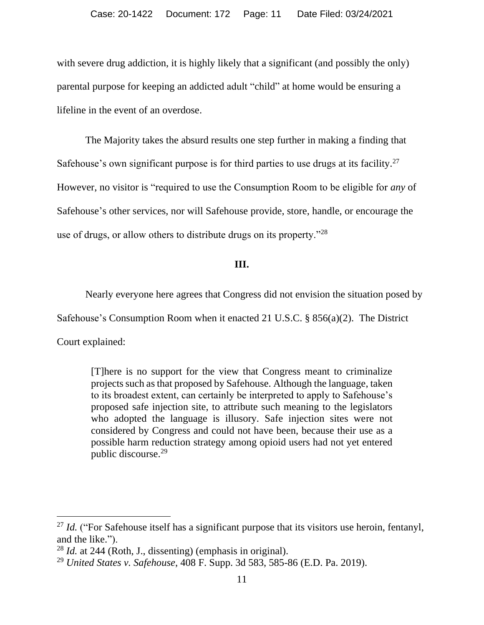with severe drug addiction, it is highly likely that a significant (and possibly the only) parental purpose for keeping an addicted adult "child" at home would be ensuring a lifeline in the event of an overdose.

The Majority takes the absurd results one step further in making a finding that Safehouse's own significant purpose is for third parties to use drugs at its facility.<sup>27</sup> However, no visitor is "required to use the Consumption Room to be eligible for *any* of Safehouse's other services, nor will Safehouse provide, store, handle, or encourage the use of drugs, or allow others to distribute drugs on its property."<sup>28</sup>

### **III.**

Nearly everyone here agrees that Congress did not envision the situation posed by

Safehouse's Consumption Room when it enacted 21 U.S.C. § 856(a)(2). The District

Court explained:

[T]here is no support for the view that Congress meant to criminalize projects such as that proposed by Safehouse. Although the language, taken to its broadest extent, can certainly be interpreted to apply to Safehouse's proposed safe injection site, to attribute such meaning to the legislators who adopted the language is illusory. Safe injection sites were not considered by Congress and could not have been, because their use as a possible harm reduction strategy among opioid users had not yet entered public discourse. 29

<sup>&</sup>lt;sup>27</sup> *Id.* ("For Safehouse itself has a significant purpose that its visitors use heroin, fentanyl, and the like.").

<sup>28</sup> *Id.* at 244 (Roth, J., dissenting) (emphasis in original).

<sup>29</sup> *United States v. Safehouse*, 408 F. Supp. 3d 583, 585-86 (E.D. Pa. 2019).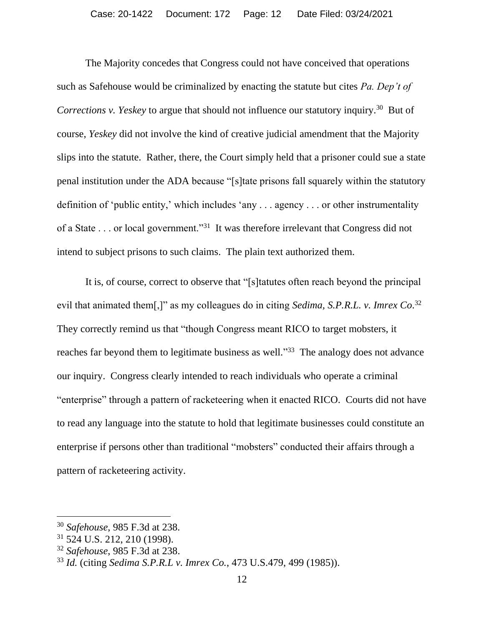The Majority concedes that Congress could not have conceived that operations such as Safehouse would be criminalized by enacting the statute but cites *Pa. Dep't of Corrections v. Yeskey* to argue that should not influence our statutory inquiry.<sup>30</sup> But of course, *Yeskey* did not involve the kind of creative judicial amendment that the Majority slips into the statute. Rather, there, the Court simply held that a prisoner could sue a state penal institution under the ADA because "[s]tate prisons fall squarely within the statutory definition of 'public entity,' which includes 'any . . . agency . . . or other instrumentality of a State . . . or local government."<sup>31</sup> It was therefore irrelevant that Congress did not intend to subject prisons to such claims. The plain text authorized them.

It is, of course, correct to observe that "[s]tatutes often reach beyond the principal evil that animated them[,]" as my colleagues do in citing *Sedima*, S.P.R.L. v. Imrex Co.<sup>32</sup> They correctly remind us that "though Congress meant RICO to target mobsters, it reaches far beyond them to legitimate business as well."<sup>33</sup> The analogy does not advance our inquiry. Congress clearly intended to reach individuals who operate a criminal "enterprise" through a pattern of racketeering when it enacted RICO. Courts did not have to read any language into the statute to hold that legitimate businesses could constitute an enterprise if persons other than traditional "mobsters" conducted their affairs through a pattern of racketeering activity.

<sup>30</sup> *Safehouse*, 985 F.3d at 238.

<sup>31</sup> 524 U.S. 212, 210 (1998).

<sup>32</sup> *Safehouse*, 985 F.3d at 238.

<sup>33</sup> *Id.* (citing *Sedima S.P.R.L v. Imrex Co.*, 473 U.S.479, 499 (1985)).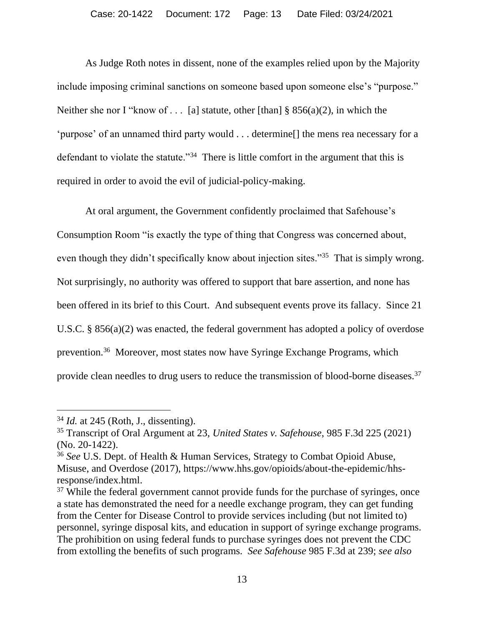As Judge Roth notes in dissent, none of the examples relied upon by the Majority include imposing criminal sanctions on someone based upon someone else's "purpose." Neither she nor I "know of . . . [a] statute, other [than]  $\S$  856(a)(2), in which the 'purpose' of an unnamed third party would . . . determine[] the mens rea necessary for a defendant to violate the statute."<sup>34</sup> There is little comfort in the argument that this is required in order to avoid the evil of judicial-policy-making.

At oral argument, the Government confidently proclaimed that Safehouse's Consumption Room "is exactly the type of thing that Congress was concerned about, even though they didn't specifically know about injection sites."<sup>35</sup> That is simply wrong. Not surprisingly, no authority was offered to support that bare assertion, and none has been offered in its brief to this Court. And subsequent events prove its fallacy. Since 21 U.S.C. § 856(a)(2) was enacted, the federal government has adopted a policy of overdose prevention.<sup>36</sup> Moreover, most states now have Syringe Exchange Programs, which provide clean needles to drug users to reduce the transmission of blood-borne diseases.<sup>37</sup>

<sup>34</sup> *Id.* at 245 (Roth, J., dissenting).

<sup>35</sup> Transcript of Oral Argument at 23, *United States v. Safehouse*, 985 F.3d 225 (2021) (No. 20-1422).

<sup>36</sup> *See* U.S. Dept. of Health & Human Services, Strategy to Combat Opioid Abuse, Misuse, and Overdose (2017), https://www.hhs.gov/opioids/about-the-epidemic/hhsresponse/index.html.

<sup>&</sup>lt;sup>37</sup> While the federal government cannot provide funds for the purchase of syringes, once a state has demonstrated the need for a needle exchange program, they can get funding from the Center for Disease Control to provide services including (but not limited to) personnel, syringe disposal kits, and education in support of syringe exchange programs. The prohibition on using federal funds to purchase syringes does not prevent the CDC from extolling the benefits of such programs. *See Safehouse* 985 F.3d at 239; *see also*